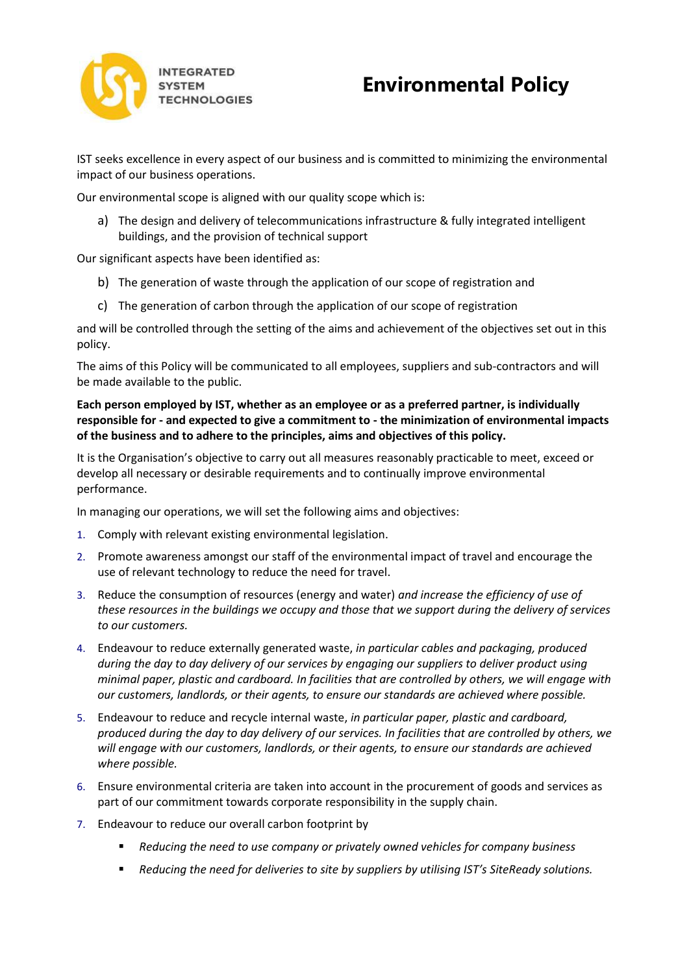

## **Environmental Policy**

IST seeks excellence in every aspect of our business and is committed to minimizing the environmental impact of our business operations.

Our environmental scope is aligned with our quality scope which is:

a) The design and delivery of telecommunications infrastructure & fully integrated intelligent buildings, and the provision of technical support

Our significant aspects have been identified as:

- b) The generation of waste through the application of our scope of registration and
- c) The generation of carbon through the application of our scope of registration

and will be controlled through the setting of the aims and achievement of the objectives set out in this policy.

The aims of this Policy will be communicated to all employees, suppliers and sub-contractors and will be made available to the public.

**Each person employed by IST, whether as an employee or as a preferred partner, is individually responsible for - and expected to give a commitment to - the minimization of environmental impacts of the business and to adhere to the principles, aims and objectives of this policy.**

It is the Organisation's objective to carry out all measures reasonably practicable to meet, exceed or develop all necessary or desirable requirements and to continually improve environmental performance.

In managing our operations, we will set the following aims and objectives:

- 1. Comply with relevant existing environmental legislation.
- 2. Promote awareness amongst our staff of the environmental impact of travel and encourage the use of relevant technology to reduce the need for travel.
- 3. Reduce the consumption of resources (energy and water) *and increase the efficiency of use of these resources in the buildings we occupy and those that we support during the delivery of services to our customers.*
- 4. Endeavour to reduce externally generated waste, *in particular cables and packaging, produced during the day to day delivery of our services by engaging our suppliers to deliver product using minimal paper, plastic and cardboard. In facilities that are controlled by others, we will engage with our customers, landlords, or their agents, to ensure our standards are achieved where possible.*
- 5. Endeavour to reduce and recycle internal waste, *in particular paper, plastic and cardboard, produced during the day to day delivery of our services. In facilities that are controlled by others, we will engage with our customers, landlords, or their agents, to ensure our standards are achieved where possible.*
- 6. Ensure environmental criteria are taken into account in the procurement of goods and services as part of our commitment towards corporate responsibility in the supply chain.
- 7. Endeavour to reduce our overall carbon footprint by
	- *Reducing the need to use company or privately owned vehicles for company business*
	- *Reducing the need for deliveries to site by suppliers by utilising IST<sup>'</sup>s SiteReady solutions.*